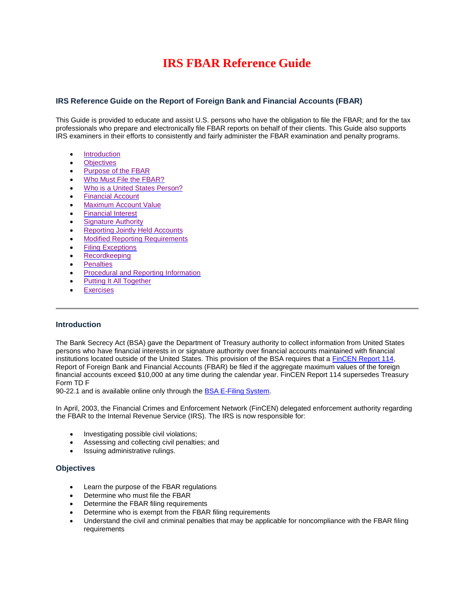# **IRS FBAR Reference Guide**

# **IRS Reference Guide on the Report of Foreign Bank and Financial Accounts (FBAR)**

This Guide is provided to educate and assist U.S. persons who have the obligation to file the FBAR; and for the tax professionals who prepare and electronically file FBAR reports on behalf of their clients. This Guide also supports IRS examiners in their efforts to consistently and fairly administer the FBAR examination and penalty programs.

- [Introduction](#page-0-0)
- **•** [Objectives](#page-0-1)
- [Purpose of the FBAR](#page-1-0)
- [Who Must File the FBAR?](#page-1-1)
- [Who is a United States Person?](#page-1-2)
- [Financial Account](#page-1-3)
- [Maximum Account Value](#page-2-0)
- **•** [Financial Interest](#page-3-0)
- [Signature Authority](#page-4-0)
- [Reporting Jointly Held Accounts](#page-4-1)
- [Modified Reporting Requirements](#page-4-2)
- [Filing Exceptions](#page-4-3)
- [Recordkeeping](#page-6-0)
- [Penalties](#page-6-1)
- [Procedural and Reporting Information](#page-7-0)
- [Putting It All Together](#page-8-0)
- **[Exercises](#page-8-1)**

#### <span id="page-0-0"></span>**Introduction**

The Bank Secrecy Act (BSA) gave the Department of Treasury authority to collect information from United States persons who have financial interests in or signature authority over financial accounts maintained with financial institutions located outside of the United States. This provision of the BSA requires that a FinCEN Report 114, Report of Foreign Bank and Financial Accounts (FBAR) be filed if the aggregate maximum values of the foreign financial accounts exceed \$10,000 at any time during the calendar year. FinCEN Report 114 supersedes Treasury Form TD F

90-22.1 and is available online only through th[e BSA E-Filing System.](http://bsaefiling.fincen.treas.gov/main.html)

In April, 2003, the Financial Crimes and Enforcement Network (FinCEN) delegated enforcement authority regarding the FBAR to the Internal Revenue Service (IRS). The IRS is now responsible for:

- Investigating possible civil violations;
- Assessing and collecting civil penalties; and
- Issuing administrative rulings.

#### <span id="page-0-1"></span>**Objectives**

- Learn the purpose of the FBAR regulations
- Determine who must file the FBAR
- Determine the FBAR filing requirements
- Determine who is exempt from the FBAR filing requirements
- Understand the civil and criminal penalties that may be applicable for noncompliance with the FBAR filing requirements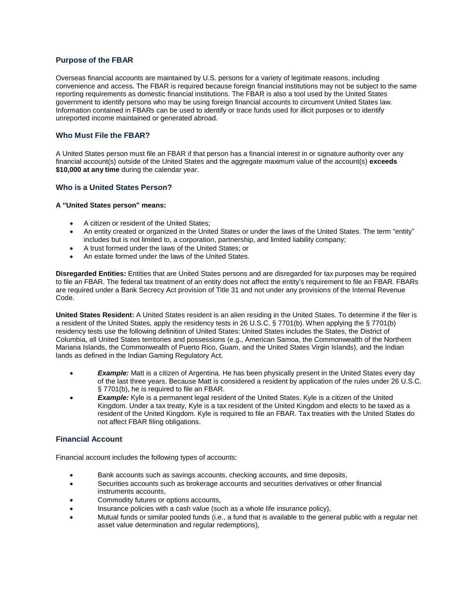# <span id="page-1-0"></span>**Purpose of the FBAR**

Overseas financial accounts are maintained by U.S. persons for a variety of legitimate reasons, including convenience and access. The FBAR is required because foreign financial institutions may not be subject to the same reporting requirements as domestic financial institutions. The FBAR is also a tool used by the United States government to identify persons who may be using foreign financial accounts to circumvent United States law. Information contained in FBARs can be used to identify or trace funds used for illicit purposes or to identify unreported income maintained or generated abroad.

# <span id="page-1-1"></span>**Who Must File the FBAR?**

A United States person must file an FBAR if that person has a financial interest in or signature authority over any financial account(s) outside of the United States and the aggregate maximum value of the account(s) **exceeds \$10,000 at any time** during the calendar year.

# <span id="page-1-2"></span>**Who is a United States Person?**

#### **A "United States person" means:**

- A citizen or resident of the United States:
- An entity created or organized in the United States or under the laws of the United States. The term "entity" includes but is not limited to, a corporation, partnership, and limited liability company;
- A trust formed under the laws of the United States; or
- An estate formed under the laws of the United States.

**Disregarded Entities:** Entities that are United States persons and are disregarded for tax purposes may be required to file an FBAR. The federal tax treatment of an entity does not affect the entity's requirement to file an FBAR. FBARs are required under a Bank Secrecy Act provision of Title 31 and not under any provisions of the Internal Revenue Code.

**United States Resident:** A United States resident is an alien residing in the United States. To determine if the filer is a resident of the United States, apply the residency tests in 26 U.S.C. § 7701(b). When applying the § 7701(b) residency tests use the following definition of United States: United States includes the States, the District of Columbia, all United States territories and possessions (e.g., American Samoa, the Commonwealth of the Northern Mariana Islands, the Commonwealth of Puerto Rico, Guam, and the United States Virgin Islands), and the Indian lands as defined in the Indian Gaming Regulatory Act.

- *Example:* Matt is a citizen of Argentina. He has been physically present in the United States every day of the last three years. Because Matt is considered a resident by application of the rules under 26 U.S.C. § 7701(b), he is required to file an FBAR.
- **Example:** Kyle is a permanent legal resident of the United States. Kyle is a citizen of the United Kingdom. Under a tax treaty, Kyle is a tax resident of the United Kingdom and elects to be taxed as a resident of the United Kingdom. Kyle is required to file an FBAR. Tax treaties with the United States do not affect FBAR filing obligations.

# <span id="page-1-3"></span>**Financial Account**

Financial account includes the following types of accounts:

- Bank accounts such as savings accounts, checking accounts, and time deposits,
- Securities accounts such as brokerage accounts and securities derivatives or other financial instruments accounts,
- Commodity futures or options accounts,
- Insurance policies with a cash value (such as a whole life insurance policy),
- Mutual funds or similar pooled funds (i.e., a fund that is available to the general public with a regular net asset value determination and regular redemptions),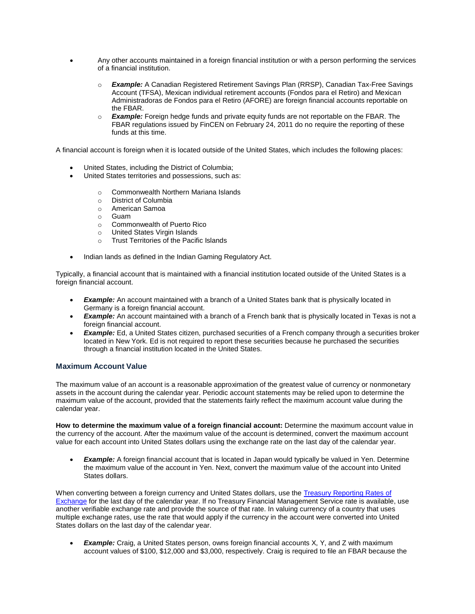- Any other accounts maintained in a foreign financial institution or with a person performing the services of a financial institution.
	- o *Example:* A Canadian Registered Retirement Savings Plan (RRSP), Canadian Tax-Free Savings Account (TFSA), Mexican individual retirement accounts (Fondos para el Retiro) and Mexican Administradoras de Fondos para el Retiro (AFORE) are foreign financial accounts reportable on the FBAR.
	- o *Example:* Foreign hedge funds and private equity funds are not reportable on the FBAR. The FBAR regulations issued by FinCEN on February 24, 2011 do no require the reporting of these funds at this time.

A financial account is foreign when it is located outside of the United States, which includes the following places:

- United States, including the District of Columbia;
	- United States territories and possessions, such as:
		- o Commonwealth Northern Mariana Islands
		- o District of Columbia
		- o American Samoa
		- o Guam
		- o Commonwealth of Puerto Rico
		- o United States Virgin Islands
		- o Trust Territories of the Pacific Islands
- Indian lands as defined in the Indian Gaming Regulatory Act.

Typically, a financial account that is maintained with a financial institution located outside of the United States is a foreign financial account.

- **Example:** An account maintained with a branch of a United States bank that is physically located in Germany is a foreign financial account.
- *Example:* An account maintained with a branch of a French bank that is physically located in Texas is not a foreign financial account.
- *Example:* Ed, a United States citizen, purchased securities of a French company through a securities broker located in New York. Ed is not required to report these securities because he purchased the securities through a financial institution located in the United States.

#### <span id="page-2-0"></span>**Maximum Account Value**

The maximum value of an account is a reasonable approximation of the greatest value of currency or nonmonetary assets in the account during the calendar year. Periodic account statements may be relied upon to determine the maximum value of the account, provided that the statements fairly reflect the maximum account value during the calendar year.

**How to determine the maximum value of a foreign financial account:** Determine the maximum account value in the currency of the account. After the maximum value of the account is determined, convert the maximum account value for each account into United States dollars using the exchange rate on the last day of the calendar year.

**Example:** A foreign financial account that is located in Japan would typically be valued in Yen. Determine the maximum value of the account in Yen. Next, convert the maximum value of the account into United States dollars.

When converting between a foreign currency and United States dollars, use the [Treasury Reporting Rates of](http://fms.treas.gov/intn.html)  [Exchange f](http://fms.treas.gov/intn.html)or the last day of the calendar year. If no Treasury Financial Management Service rate is available, use another verifiable exchange rate and provide the source of that rate. In valuing currency of a country that uses multiple exchange rates, use the rate that would apply if the currency in the account were converted into United States dollars on the last day of the calendar year.

**Example:** Craig, a United States person, owns foreign financial accounts X, Y, and Z with maximum account values of \$100, \$12,000 and \$3,000, respectively. Craig is required to file an FBAR because the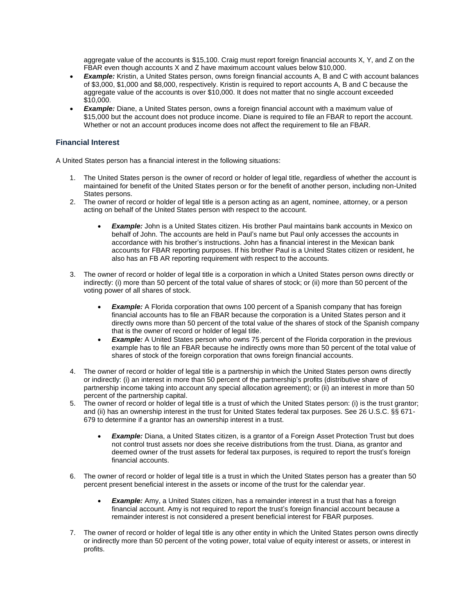aggregate value of the accounts is \$15,100. Craig must report foreign financial accounts X, Y, and Z on the FBAR even though accounts X and Z have maximum account values below \$10,000.

- *Example:* Kristin, a United States person, owns foreign financial accounts A, B and C with account balances of \$3,000, \$1,000 and \$8,000, respectively. Kristin is required to report accounts A, B and C because the aggregate value of the accounts is over \$10,000. It does not matter that no single account exceeded \$10,000.
- **Example:** Diane, a United States person, owns a foreign financial account with a maximum value of \$15,000 but the account does not produce income. Diane is required to file an FBAR to report the account. Whether or not an account produces income does not affect the requirement to file an FBAR.

#### <span id="page-3-0"></span>**Financial Interest**

A United States person has a financial interest in the following situations:

- 1. The United States person is the owner of record or holder of legal title, regardless of whether the account is maintained for benefit of the United States person or for the benefit of another person, including non-United States persons.
- 2. The owner of record or holder of legal title is a person acting as an agent, nominee, attorney, or a person acting on behalf of the United States person with respect to the account.
	- *Example:* John is a United States citizen. His brother Paul maintains bank accounts in Mexico on behalf of John. The accounts are held in Paul's name but Paul only accesses the accounts in accordance with his brother's instructions. John has a financial interest in the Mexican bank accounts for FBAR reporting purposes. If his brother Paul is a United States citizen or resident, he also has an FB AR reporting requirement with respect to the accounts.
- 3. The owner of record or holder of legal title is a corporation in which a United States person owns directly or indirectly: (i) more than 50 percent of the total value of shares of stock; or (ii) more than 50 percent of the voting power of all shares of stock.
	- *Example:* A Florida corporation that owns 100 percent of a Spanish company that has foreign financial accounts has to file an FBAR because the corporation is a United States person and it directly owns more than 50 percent of the total value of the shares of stock of the Spanish company that is the owner of record or holder of legal title.
	- *Example:* A United States person who owns 75 percent of the Florida corporation in the previous example has to file an FBAR because he indirectly owns more than 50 percent of the total value of shares of stock of the foreign corporation that owns foreign financial accounts.
- 4. The owner of record or holder of legal title is a partnership in which the United States person owns directly or indirectly: (i) an interest in more than 50 percent of the partnership's profits (distributive share of partnership income taking into account any special allocation agreement); or (ii) an interest in more than 50 percent of the partnership capital.
- 5. The owner of record or holder of legal title is a trust of which the United States person: (i) is the trust grantor; and (ii) has an ownership interest in the trust for United States federal tax purposes. See 26 U.S.C. §§ 671- 679 to determine if a grantor has an ownership interest in a trust.
	- **Example:** Diana, a United States citizen, is a grantor of a Foreign Asset Protection Trust but does not control trust assets nor does she receive distributions from the trust. Diana, as grantor and deemed owner of the trust assets for federal tax purposes, is required to report the trust's foreign financial accounts.
- 6. The owner of record or holder of legal title is a trust in which the United States person has a greater than 50 percent present beneficial interest in the assets or income of the trust for the calendar year.
	- **Example:** Amy, a United States citizen, has a remainder interest in a trust that has a foreign financial account. Amy is not required to report the trust's foreign financial account because a remainder interest is not considered a present beneficial interest for FBAR purposes.
- 7. The owner of record or holder of legal title is any other entity in which the United States person owns directly or indirectly more than 50 percent of the voting power, total value of equity interest or assets, or interest in profits.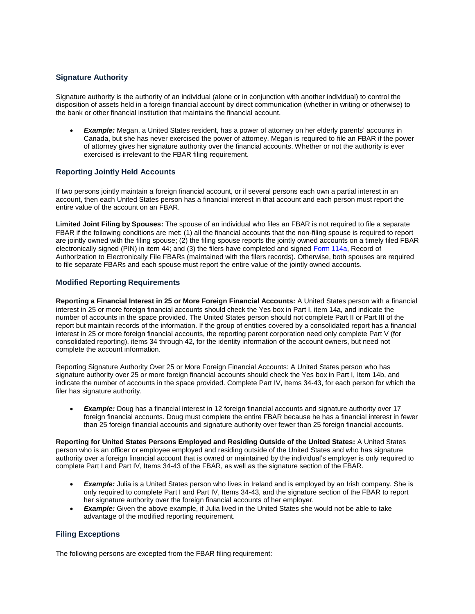# <span id="page-4-0"></span>**Signature Authority**

Signature authority is the authority of an individual (alone or in conjunction with another individual) to control the disposition of assets held in a foreign financial account by direct communication (whether in writing or otherwise) to the bank or other financial institution that maintains the financial account.

 *Example:* Megan, a United States resident, has a power of attorney on her elderly parents' accounts in Canada, but she has never exercised the power of attorney. Megan is required to file an FBAR if the power of attorney gives her signature authority over the financial accounts. Whether or not the authority is ever exercised is irrelevant to the FBAR filing requirement.

# <span id="page-4-1"></span>**Reporting Jointly Held Accounts**

If two persons jointly maintain a foreign financial account, or if several persons each own a partial interest in an account, then each United States person has a financial interest in that account and each person must report the entire value of the account on an FBAR.

**Limited Joint Filing by Spouses:** The spouse of an individual who files an FBAR is not required to file a separate FBAR if the following conditions are met: (1) all the financial accounts that the non-filing spouse is required to report are jointly owned with the filing spouse; (2) the filing spouse reports the jointly owned accounts on a timely filed FBAR electronically signed (PIN) in item 44; and (3) the filers have completed and signed [Form 114a, R](http://www.fincen.gov/forms/files/FBARE-FileAuth114aRecordSP.pdf)ecord of Authorization to Electronically File FBARs (maintained with the filers records). Otherwise, both spouses are required to file separate FBARs and each spouse must report the entire value of the jointly owned accounts.

# <span id="page-4-2"></span>**Modified Reporting Requirements**

**Reporting a Financial Interest in 25 or More Foreign Financial Accounts:** A United States person with a financial interest in 25 or more foreign financial accounts should check the Yes box in Part I, item 14a, and indicate the number of accounts in the space provided. The United States person should not complete Part II or Part III of the report but maintain records of the information. If the group of entities covered by a consolidated report has a financial interest in 25 or more foreign financial accounts, the reporting parent corporation need only complete Part V (for consolidated reporting), items 34 through 42, for the identity information of the account owners, but need not complete the account information.

Reporting Signature Authority Over 25 or More Foreign Financial Accounts: A United States person who has signature authority over 25 or more foreign financial accounts should check the Yes box in Part I, Item 14b, and indicate the number of accounts in the space provided. Complete Part IV, Items 34-43, for each person for which the filer has signature authority.

**Example:** Doug has a financial interest in 12 foreign financial accounts and signature authority over 17 foreign financial accounts. Doug must complete the entire FBAR because he has a financial interest in fewer than 25 foreign financial accounts and signature authority over fewer than 25 foreign financial accounts.

**Reporting for United States Persons Employed and Residing Outside of the United States:** A United States person who is an officer or employee employed and residing outside of the United States and who has signature authority over a foreign financial account that is owned or maintained by the individual's employer is only required to complete Part I and Part IV, Items 34-43 of the FBAR, as well as the signature section of the FBAR.

- *Example:* Julia is a United States person who lives in Ireland and is employed by an Irish company. She is only required to complete Part I and Part IV, Items 34-43, and the signature section of the FBAR to report her signature authority over the foreign financial accounts of her employer.
- **Example:** Given the above example, if Julia lived in the United States she would not be able to take advantage of the modified reporting requirement.

# <span id="page-4-3"></span>**Filing Exceptions**

The following persons are excepted from the FBAR filing requirement: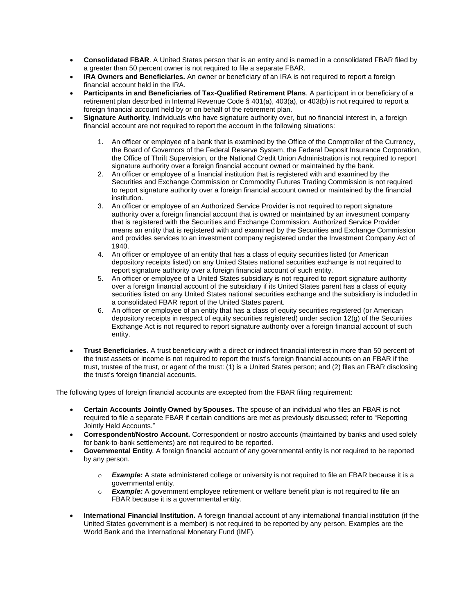- **Consolidated FBAR**. A United States person that is an entity and is named in a consolidated FBAR filed by a greater than 50 percent owner is not required to file a separate FBAR.
- **IRA Owners and Beneficiaries.** An owner or beneficiary of an IRA is not required to report a foreign financial account held in the IRA.
- **Participants in and Beneficiaries of Tax-Qualified Retirement Plans**. A participant in or beneficiary of a retirement plan described in Internal Revenue Code § 401(a), 403(a), or 403(b) is not required to report a foreign financial account held by or on behalf of the retirement plan.
- **Signature Authority**. Individuals who have signature authority over, but no financial interest in, a foreign financial account are not required to report the account in the following situations:
	- 1. An officer or employee of a bank that is examined by the Office of the Comptroller of the Currency, the Board of Governors of the Federal Reserve System, the Federal Deposit Insurance Corporation, the Office of Thrift Supervision, or the National Credit Union Administration is not required to report signature authority over a foreign financial account owned or maintained by the bank.
	- 2. An officer or employee of a financial institution that is registered with and examined by the Securities and Exchange Commission or Commodity Futures Trading Commission is not required to report signature authority over a foreign financial account owned or maintained by the financial institution.
	- 3. An officer or employee of an Authorized Service Provider is not required to report signature authority over a foreign financial account that is owned or maintained by an investment company that is registered with the Securities and Exchange Commission. Authorized Service Provider means an entity that is registered with and examined by the Securities and Exchange Commission and provides services to an investment company registered under the Investment Company Act of 1940.
	- 4. An officer or employee of an entity that has a class of equity securities listed (or American depository receipts listed) on any United States national securities exchange is not required to report signature authority over a foreign financial account of such entity.
	- 5. An officer or employee of a United States subsidiary is not required to report signature authority over a foreign financial account of the subsidiary if its United States parent has a class of equity securities listed on any United States national securities exchange and the subsidiary is included in a consolidated FBAR report of the United States parent.
	- 6. An officer or employee of an entity that has a class of equity securities registered (or American depository receipts in respect of equity securities registered) under section 12(g) of the Securities Exchange Act is not required to report signature authority over a foreign financial account of such entity.
- **Trust Beneficiaries.** A trust beneficiary with a direct or indirect financial interest in more than 50 percent of the trust assets or income is not required to report the trust's foreign financial accounts on an FBAR if the trust, trustee of the trust, or agent of the trust: (1) is a United States person; and (2) files an FBAR disclosing the trust's foreign financial accounts.

The following types of foreign financial accounts are excepted from the FBAR filing requirement:

- **Certain Accounts Jointly Owned by Spouses.** The spouse of an individual who files an FBAR is not required to file a separate FBAR if certain conditions are met as previously discussed; refer to "Reporting Jointly Held Accounts."
- **Correspondent/Nostro Account.** Correspondent or nostro accounts (maintained by banks and used solely for bank-to-bank settlements) are not required to be reported.
- **Governmental Entity**. A foreign financial account of any governmental entity is not required to be reported by any person.
	- o *Example:* A state administered college or university is not required to file an FBAR because it is a governmental entity.
	- o *Example:* A government employee retirement or welfare benefit plan is not required to file an FBAR because it is a governmental entity.
- **International Financial Institution.** A foreign financial account of any international financial institution (if the United States government is a member) is not required to be reported by any person. Examples are the World Bank and the International Monetary Fund (IMF).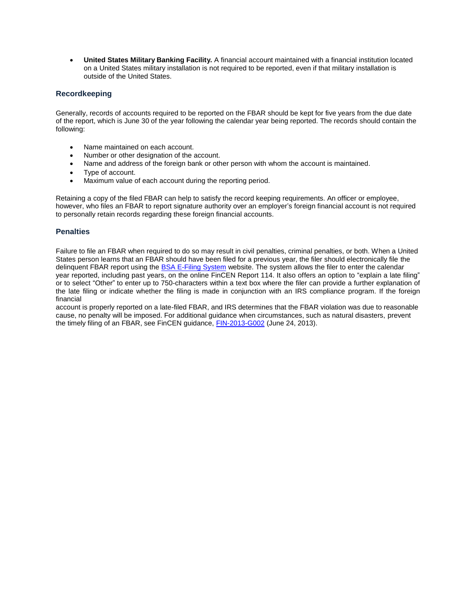**United States Military Banking Facility.** A financial account maintained with a financial institution located on a United States military installation is not required to be reported, even if that military installation is outside of the United States.

# <span id="page-6-0"></span>**Recordkeeping**

Generally, records of accounts required to be reported on the FBAR should be kept for five years from the due date of the report, which is June 30 of the year following the calendar year being reported. The records should contain the following:

- Name maintained on each account.
- Number or other designation of the account.
- Name and address of the foreign bank or other person with whom the account is maintained.
- Type of account.
- Maximum value of each account during the reporting period.

Retaining a copy of the filed FBAR can help to satisfy the record keeping requirements. An officer or employee, however, who files an FBAR to report signature authority over an employer's foreign financial account is not required to personally retain records regarding these foreign financial accounts.

#### <span id="page-6-1"></span>**Penalties**

Failure to file an FBAR when required to do so may result in civil penalties, criminal penalties, or both. When a United States person learns that an FBAR should have been filed for a previous year, the filer should electronically file the delinquent FBAR report using the [BSA E-Filing System w](http://bsaefiling.fincen.treas.gov/main.html)ebsite. The system allows the filer to enter the calendar year reported, including past years, on the online FinCEN Report 114. It also offers an option to "explain a late filing" or to select "Other" to enter up to 750-characters within a text box where the filer can provide a further explanation of the late filing or indicate whether the filing is made in conjunction with an IRS compliance program. If the foreign financial

account is properly reported on a late-filed FBAR, and IRS determines that the FBAR violation was due to reasonable cause, no penalty will be imposed. For additional guidance when circumstances, such as natural disasters, prevent the timely filing of an FBAR, see FinCEN guidance, [FIN-2013-G002 \(](http://www.fincen.gov/statutes_regs/guidance/html/FIN-2013-G002.html)June 24, 2013).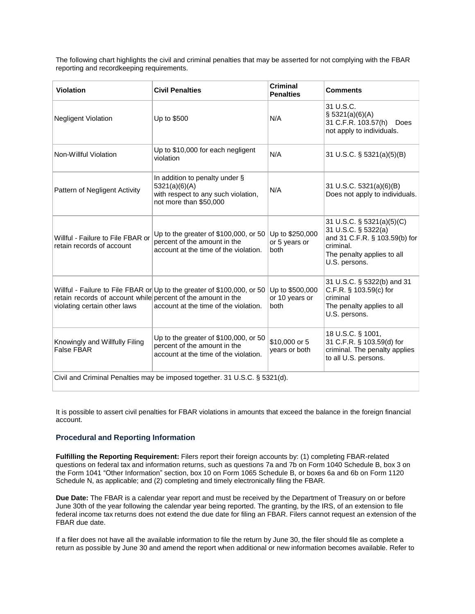The following chart highlights the civil and criminal penalties that may be asserted for not complying with the FBAR reporting and recordkeeping requirements.

| <b>Violation</b>                                                                             | <b>Civil Penalties</b>                                                                                           | <b>Criminal</b><br><b>Penalties</b>       | <b>Comments</b>                                                                                                                               |
|----------------------------------------------------------------------------------------------|------------------------------------------------------------------------------------------------------------------|-------------------------------------------|-----------------------------------------------------------------------------------------------------------------------------------------------|
| <b>Negligent Violation</b>                                                                   | Up to \$500                                                                                                      | N/A                                       | 31 U.S.C.<br>\$ 5321(a)(6)(A)<br>31 C.F.R. 103.57(h)<br>Does<br>not apply to individuals.                                                     |
| Non-Willful Violation                                                                        | Up to \$10,000 for each negligent<br>violation                                                                   | N/A                                       | 31 U.S.C. § 5321(a)(5)(B)                                                                                                                     |
| Pattern of Negligent Activity                                                                | In addition to penalty under §<br>5321(a)(6)(A)<br>with respect to any such violation,<br>not more than \$50,000 | N/A                                       | 31 U.S.C. 5321(a)(6)(B)<br>Does not apply to individuals.                                                                                     |
| Willful - Failure to File FBAR or<br>retain records of account                               | Up to the greater of $$100,000$ , or 50<br>percent of the amount in the<br>account at the time of the violation. | Up to \$250,000<br>or 5 years or<br>both  | 31 U.S.C. § 5321(a)(5)(C)<br>31 U.S.C. § 5322(a)<br>and 31 C.F.R. § 103.59(b) for<br>criminal.<br>The penalty applies to all<br>U.S. persons. |
| retain records of account while percent of the amount in the<br>violating certain other laws | Willful - Failure to File FBAR or Up to the greater of \$100,000, or 50<br>account at the time of the violation. | Up to \$500,000<br>or 10 years or<br>both | 31 U.S.C. § 5322(b) and 31<br>C.F.R. § 103.59(c) for<br>criminal<br>The penalty applies to all<br>U.S. persons.                               |
| Knowingly and Willfully Filing<br><b>False FBAR</b>                                          | Up to the greater of \$100,000, or 50<br>percent of the amount in the<br>account at the time of the violation.   | \$10,000 or 5<br>years or both            | 18 U.S.C. § 1001,<br>31 C.F.R. § 103.59(d) for<br>criminal. The penalty applies<br>to all U.S. persons.                                       |
| Civil and Criminal Penalties may be imposed together. 31 U.S.C. § 5321(d).                   |                                                                                                                  |                                           |                                                                                                                                               |

It is possible to assert civil penalties for FBAR violations in amounts that exceed the balance in the foreign financial account.

# <span id="page-7-0"></span>**Procedural and Reporting Information**

**Fulfilling the Reporting Requirement:** Filers report their foreign accounts by: (1) completing FBAR-related questions on federal tax and information returns, such as questions 7a and 7b on Form 1040 Schedule B, box 3 on the Form 1041 "Other Information" section, box 10 on Form 1065 Schedule B, or boxes 6a and 6b on Form 1120 Schedule N, as applicable; and (2) completing and timely electronically filing the FBAR.

**Due Date:** The FBAR is a calendar year report and must be received by the Department of Treasury on or before June 30th of the year following the calendar year being reported. The granting, by the IRS, of an extension to file federal income tax returns does not extend the due date for filing an FBAR. Filers cannot request an extension of the FBAR due date.

If a filer does not have all the available information to file the return by June 30, the filer should file as complete a return as possible by June 30 and amend the report when additional or new information becomes available. Refer to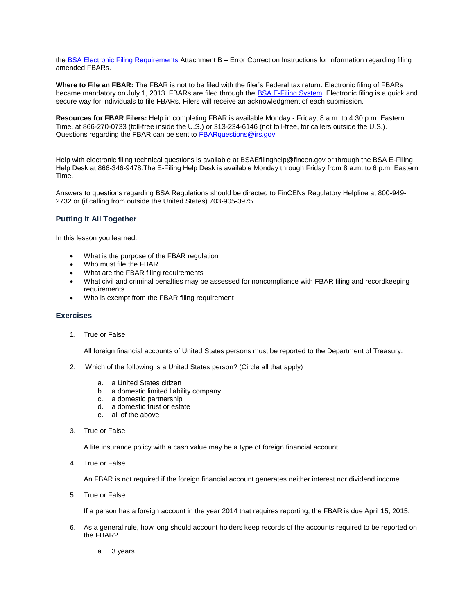the [BSA Electronic Filing Requirements A](http://sdtmut.fincen.treas.gov/news/FinCENFBARElectronicFilingRequirements.pdf)ttachment B – Error Correction Instructions for information regarding filing amended FBARs.

**Where to File an FBAR:** The FBAR is not to be filed with the filer's Federal tax return. Electronic filing of FBARs became mandatory on July 1, 2013. FBARs are filed through the [BSA E-Filing System. E](http://bsaefiling.fincen.treas.gov/main.html)lectronic filing is a quick and secure way for individuals to file FBARs. Filers will receive an acknowledgment of each submission.

**Resources for FBAR Filers:** Help in completing FBAR is available Monday - Friday, 8 a.m. to 4:30 p.m. Eastern Time, at 866-270-0733 (toll-free inside the U.S.) or 313-234-6146 (not toll-free, for callers outside the U.S.). Questions regarding the FBAR can be sent to [FBARquestions@irs.gov.](mailto:FBARquestions@irs.gov)

Help with electronic filing technical questions is available at [BSAEfilinghelp@fincen.gov o](mailto:BSAEfilinghelp@fincen.gov)r through the BSA E-Filing Help Desk at 866-346-9478.The E-Filing Help Desk is available Monday through Friday from 8 a.m. to 6 p.m. Eastern Time.

Answers to questions regarding BSA Regulations should be directed to FinCENs Regulatory Helpline at 800-949- 2732 or (if calling from outside the United States) 703-905-3975.

#### <span id="page-8-0"></span>**Putting It All Together**

In this lesson you learned:

- What is the purpose of the FBAR regulation
- Who must file the FBAR
- What are the FBAR filing requirements
- What civil and criminal penalties may be assessed for noncompliance with FBAR filing and recordkeeping requirements
- Who is exempt from the FBAR filing requirement

#### <span id="page-8-1"></span>**Exercises**

1. True or False

All foreign financial accounts of United States persons must be reported to the Department of Treasury.

- 2. Which of the following is a United States person? (Circle all that apply)
	- a. a United States citizen
	- b. a domestic limited liability company
	- c. a domestic partnership
	- d. a domestic trust or estate
	- e. all of the above
- 3. True or False

A life insurance policy with a cash value may be a type of foreign financial account.

4. True or False

An FBAR is not required if the foreign financial account generates neither interest nor dividend income.

5. True or False

If a person has a foreign account in the year 2014 that requires reporting, the FBAR is due April 15, 2015.

- 6. As a general rule, how long should account holders keep records of the accounts required to be reported on the FBAR?
	- a. 3 years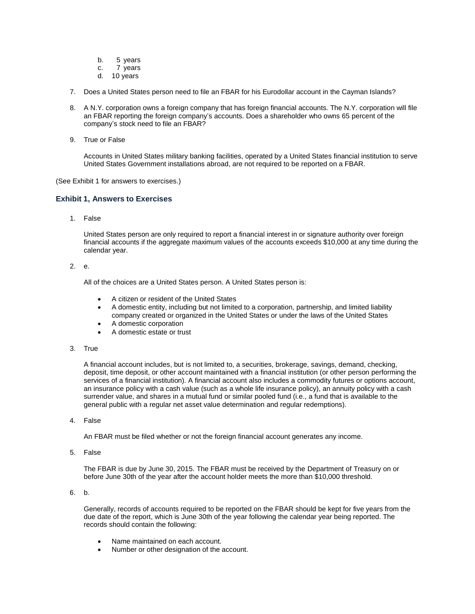- b. 5 years
- c. 7 years
- d. 10 years
- 7. Does a United States person need to file an FBAR for his Eurodollar account in the Cayman Islands?
- 8. A N.Y. corporation owns a foreign company that has foreign financial accounts. The N.Y. corporation will file an FBAR reporting the foreign company's accounts. Does a shareholder who owns 65 percent of the company's stock need to file an FBAR?
- 9. True or False

Accounts in United States military banking facilities, operated by a United States financial institution to serve United States Government installations abroad, are not required to be reported on a FBAR.

(See Exhibit 1 for answers to exercises.)

#### **Exhibit 1, Answers to Exercises**

1. False

United States person are only required to report a financial interest in or signature authority over foreign financial accounts if the aggregate maximum values of the accounts exceeds \$10,000 at any time during the calendar year.

#### 2. e.

All of the choices are a United States person. A United States person is:

- A citizen or resident of the United States
- A domestic entity, including but not limited to a corporation, partnership, and limited liability company created or organized in the United States or under the laws of the United States
- A domestic corporation
- A domestic estate or trust
- 3. True

A financial account includes, but is not limited to, a securities, brokerage, savings, demand, checking, deposit, time deposit, or other account maintained with a financial institution (or other person performing the services of a financial institution). A financial account also includes a commodity futures or options account, an insurance policy with a cash value (such as a whole life insurance policy), an annuity policy with a cash surrender value, and shares in a mutual fund or similar pooled fund (i.e., a fund that is available to the general public with a regular net asset value determination and regular redemptions).

4. False

An FBAR must be filed whether or not the foreign financial account generates any income.

5. False

The FBAR is due by June 30, 2015. The FBAR must be received by the Department of Treasury on or before June 30th of the year after the account holder meets the more than \$10,000 threshold.

6. b.

Generally, records of accounts required to be reported on the FBAR should be kept for five years from the due date of the report, which is June 30th of the year following the calendar year being reported. The records should contain the following:

- Name maintained on each account.
- Number or other designation of the account.